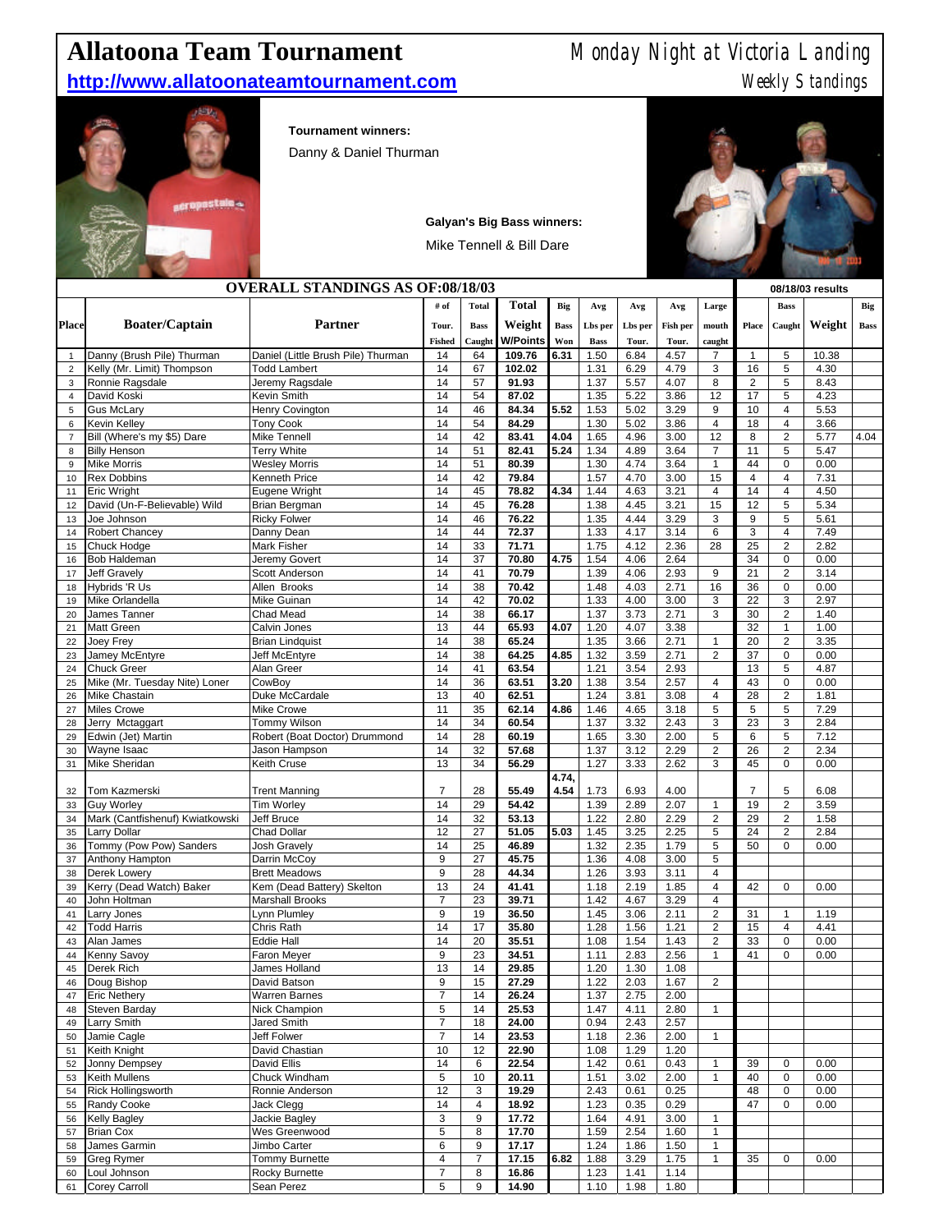## **Allatoona Team Tournament** Monday Night at Victoria Landing

## **http://www.allatoonateamtournament.com** Meekly Standings



**Tournament winners:**

Danny & Daniel Thurman



| <b>Galyan's Big Bass winners:</b> |  |
|-----------------------------------|--|
| Mike Tennell & Bill Dare          |  |

|                     | <b>OVERALL STANDINGS AS OF:08/18/03</b>           |                                                      |                          |                |                 |              |              |              |              |                                  |                | 08/18/03 results    |              |             |  |
|---------------------|---------------------------------------------------|------------------------------------------------------|--------------------------|----------------|-----------------|--------------|--------------|--------------|--------------|----------------------------------|----------------|---------------------|--------------|-------------|--|
|                     |                                                   |                                                      | # of                     | <b>Total</b>   | <b>Total</b>    | Big          | Avg          | Avg          | Avg          | Large                            |                | <b>Bass</b>         |              | Big         |  |
| <b>Place</b>        | <b>Boater/Captain</b>                             | <b>Partner</b>                                       | Tour.                    | <b>Bass</b>    | Weight          | <b>Bass</b>  | Lbs per      | Lbs per      | Fish per     | mouth                            | Place          | Caught              | Weight       | <b>Bass</b> |  |
|                     |                                                   |                                                      | <b>Fished</b>            | Caught         | <b>W/Points</b> | Won          | <b>Bass</b>  | Tour.        | Tour.        | caught                           |                |                     |              |             |  |
| $\overline{1}$      | Danny (Brush Pile) Thurman                        | Daniel (Little Brush Pile) Thurman                   | 14                       | 64             | 109.76          | 6.31         | 1.50         | 6.84         | 4.57         | $\overline{7}$                   | $\mathbf{1}$   | 5                   | 10.38        |             |  |
| $\overline{2}$      | Kelly (Mr. Limit) Thompson                        | <b>Todd Lambert</b>                                  | 14                       | 67             | 102.02          |              | 1.31         | 6.29         | 4.79         | 3                                | 16             | 5                   | 4.30         |             |  |
| 3                   | Ronnie Ragsdale                                   | Jeremy Ragsdale                                      | 14                       | 57             | 91.93           |              | 1.37         | 5.57         | 4.07         | 8                                | $\overline{c}$ | 5                   | 8.43         |             |  |
| $\overline{4}$      | David Koski                                       | Kevin Smith                                          | 14                       | 54             | 87.02           |              | 1.35         | 5.22         | 3.86         | 12                               | 17             | 5                   | 4.23         |             |  |
| 5                   | <b>Gus McLary</b>                                 | Henry Covington                                      | 14                       | 46             | 84.34           | 5.52         | 1.53         | 5.02         | 3.29         | $9\,$                            | 10             | 4                   | 5.53         |             |  |
| 6                   | <b>Kevin Kelley</b><br>Bill (Where's my \$5) Dare | <b>Tony Cook</b>                                     | 14<br>14                 | 54<br>42       | 84.29           |              | 1.30         | 5.02         | 3.86<br>3.00 | $\overline{4}$                   | 18<br>8        | 4<br>$\overline{c}$ | 3.66         | 4.04        |  |
| $\overline{7}$<br>8 | <b>Billy Henson</b>                               | Mike Tennell<br><b>Terry White</b>                   | 14                       | 51             | 83.41<br>82.41  | 4.04<br>5.24 | 1.65<br>1.34 | 4.96<br>4.89 | 3.64         | 12<br>$\overline{7}$             | 11             | 5                   | 5.77<br>5.47 |             |  |
| 9                   | <b>Mike Morris</b>                                | <b>Wesley Morris</b>                                 | 14                       | 51             | 80.39           |              | 1.30         | 4.74         | 3.64         | $\mathbf{1}$                     | 44             | 0                   | 0.00         |             |  |
| 10                  | <b>Rex Dobbins</b>                                | Kenneth Price                                        | 14                       | 42             | 79.84           |              | 1.57         | 4.70         | 3.00         | 15                               | $\overline{4}$ | 4                   | 7.31         |             |  |
| 11                  | <b>Eric Wright</b>                                | Eugene Wright                                        | 14                       | 45             | 78.82           | 4.34         | 1.44         | 4.63         | 3.21         | $\overline{4}$                   | 14             | 4                   | 4.50         |             |  |
| 12                  | David (Un-F-Believable) Wild                      | Brian Bergman                                        | 14                       | 45             | 76.28           |              | 1.38         | 4.45         | 3.21         | 15                               | 12             | 5                   | 5.34         |             |  |
| 13                  | Joe Johnson                                       | <b>Ricky Folwer</b>                                  | 14                       | 46             | 76.22           |              | 1.35         | 4.44         | 3.29         | $\ensuremath{\mathsf{3}}$        | 9              | 5                   | 5.61         |             |  |
| 14                  | <b>Robert Chancey</b>                             | Danny Dean                                           | 14                       | 44             | 72.37           |              | 1.33         | 4.17         | 3.14         | 6                                | 3              | 4                   | 7.49         |             |  |
| 15                  | Chuck Hodge                                       | Mark Fisher                                          | 14                       | 33             | 71.71           |              | 1.75         | 4.12         | 2.36         | 28                               | 25             | $\overline{c}$      | 2.82         |             |  |
| 16                  | <b>Bob Haldeman</b>                               | Jeremy Govert                                        | 14<br>14                 | 37             | 70.80           | 4.75         | 1.54         | 4.06         | 2.64         |                                  | 34             | 0                   | 0.00         |             |  |
| 17<br>18            | Jeff Gravely<br>Hybrids 'R Us                     | <b>Scott Anderson</b><br>Allen Brooks                | 14                       | 41<br>38       | 70.79<br>70.42  |              | 1.39<br>1.48 | 4.06<br>4.03 | 2.93<br>2.71 | 9<br>16                          | 21<br>36       | $\overline{c}$<br>0 | 3.14<br>0.00 |             |  |
| 19                  | Mike Orlandella                                   | Mike Guinan                                          | 14                       | 42             | 70.02           |              | 1.33         | 4.00         | 3.00         | $\ensuremath{\mathsf{3}}$        | 22             | 3                   | 2.97         |             |  |
| 20                  | James Tanner                                      | Chad Mead                                            | 14                       | 38             | 66.17           |              | 1.37         | 3.73         | 2.71         | 3                                | 30             | $\overline{2}$      | 1.40         |             |  |
| 21                  | <b>Matt Green</b>                                 | Calvin Jones                                         | 13                       | 44             | 65.93           | 4.07         | 1.20         | 4.07         | 3.38         |                                  | 32             | 1                   | 1.00         |             |  |
| 22                  | Joey Frey                                         | <b>Brian Lindquist</b>                               | 14                       | 38             | 65.24           |              | 1.35         | 3.66         | 2.71         | $\mathbf{1}$                     | 20             | $\overline{2}$      | 3.35         |             |  |
| 23                  | Jamey McEntyre                                    | Jeff McEntyre                                        | 14                       | 38             | 64.25           | 4.85         | 1.32         | 3.59         | 2.71         | $\overline{2}$                   | 37             | 0                   | 0.00         |             |  |
| 24                  | <b>Chuck Greer</b>                                | Alan Greer                                           | 14                       | 41             | 63.54           |              | 1.21         | 3.54         | 2.93         |                                  | 13             | 5                   | 4.87         |             |  |
| 25                  | Mike (Mr. Tuesday Nite) Loner                     | CowBoy                                               | 14                       | 36             | 63.51           | 3.20         | 1.38         | 3.54         | 2.57         | $\overline{4}$                   | 43             | 0                   | 0.00         |             |  |
| 26                  | <b>Mike Chastain</b>                              | Duke McCardale                                       | 13                       | 40             | 62.51           |              | 1.24         | 3.81         | 3.08         | $\overline{4}$                   | 28             | $\overline{2}$      | 1.81         |             |  |
| 27                  | <b>Miles Crowe</b>                                | Mike Crowe                                           | 11                       | 35             | 62.14           | 4.86         | 1.46         | 4.65         | 3.18         | 5                                | 5              | 5                   | 7.29         |             |  |
| 28                  | Jerry Mctaggart                                   | <b>Tommy Wilson</b>                                  | 14<br>14                 | 34             | 60.54           |              | 1.37         | 3.32         | 2.43         | 3<br>$\overline{5}$              | 23<br>6        | 3<br>$\overline{5}$ | 2.84<br>7.12 |             |  |
| 29<br>30            | Edwin (Jet) Martin<br>Wayne Isaac                 | Robert (Boat Doctor) Drummond<br>Jason Hampson       | 14                       | 28<br>32       | 60.19<br>57.68  |              | 1.65<br>1.37 | 3.30<br>3.12 | 2.00<br>2.29 | $\overline{2}$                   | 26             | $\overline{c}$      | 2.34         |             |  |
| 31                  | <b>Mike Sheridan</b>                              | Keith Cruse                                          | 13                       | 34             | 56.29           |              | 1.27         | 3.33         | 2.62         | 3                                | 45             | 0                   | 0.00         |             |  |
|                     |                                                   |                                                      |                          |                |                 | 4.74,        |              |              |              |                                  |                |                     |              |             |  |
| 32                  | Tom Kazmerski                                     | <b>Trent Manning</b>                                 | $\overline{7}$           | 28             | 55.49           | 4.54         | 1.73         | 6.93         | 4.00         |                                  | $\overline{7}$ | 5                   | 6.08         |             |  |
| 33                  | <b>Guy Worley</b>                                 | Tim Worley                                           | 14                       | 29             | 54.42           |              | 1.39         | 2.89         | 2.07         | $\mathbf{1}$                     | 19             | 2                   | 3.59         |             |  |
| 34                  | Mark (Cantfishenuf) Kwiatkowski                   | Jeff Bruce                                           | 14                       | 32             | 53.13           |              | 1.22         | 2.80         | 2.29         | $\boldsymbol{2}$                 | 29             | $\overline{c}$      | 1.58         |             |  |
| 35                  | <b>Larry Dollar</b>                               | <b>Chad Dollar</b>                                   | 12                       | 27             | 51.05           | 5.03         | 1.45         | 3.25         | 2.25         | $\sqrt{5}$                       | 24             | $\overline{c}$      | 2.84         |             |  |
| 36                  | Tommy (Pow Pow) Sanders                           | Josh Gravely                                         | 14                       | 25             | 46.89           |              | 1.32         | 2.35         | 1.79         | 5                                | 50             | 0                   | 0.00         |             |  |
| 37                  | Anthony Hampton                                   | Darrin McCoy                                         | 9                        | 27             | 45.75           |              | 1.36         | 4.08         | 3.00         | $\sqrt{5}$                       |                |                     |              |             |  |
| 38                  | Derek Lowery                                      | <b>Brett Meadows</b>                                 | 9                        | 28             | 44.34           |              | 1.26         | 3.93         | 3.11         | $\overline{4}$                   |                |                     |              |             |  |
| 39<br>40            | Kerry (Dead Watch) Baker<br>John Holtman          | Kem (Dead Battery) Skelton<br><b>Marshall Brooks</b> | 13<br>$\overline{7}$     | 24<br>23       | 41.41<br>39.71  |              | 1.18<br>1.42 | 2.19<br>4.67 | 1.85<br>3.29 | $\overline{4}$<br>$\overline{4}$ | 42             | 0                   | 0.00         |             |  |
| 41                  | Larry Jones                                       | Lynn Plumley                                         | 9                        | 19             | 36.50           |              | 1.45         | 3.06         | 2.11         | $\overline{2}$                   | 31             | $\mathbf{1}$        | 1.19         |             |  |
| 42                  | <b>Todd Harris</b>                                | Chris Rath                                           | 14                       | 17             | 35.80           |              | 1.28         | 1.56         | 1.21         | $\sqrt{2}$                       | 15             | 4                   | 4.41         |             |  |
| 43                  | Alan James                                        | Eddie Hall                                           | 14                       | 20             | 35.51           |              | 1.08         | 1.54         | 1.43         | $\overline{2}$                   | 33             | 0                   | 0.00         |             |  |
| 44                  | Kenny Savoy                                       | Faron Meyer                                          | 9                        | 23             | 34.51           |              | 1.11         | 2.83         | 2.56         | $\mathbf{1}$                     | 41             | 0                   | 0.00         |             |  |
| 45                  | Derek Rich                                        | James Holland                                        | 13                       | 14             | 29.85           |              | 1.20         | 1.30         | 1.08         |                                  |                |                     |              |             |  |
| 46                  | Doug Bishop                                       | David Batson                                         | 9                        | 15             | 27.29           |              | 1.22         | 2.03         | 1.67         | $\overline{2}$                   |                |                     |              |             |  |
| 47                  | <b>Eric Nethery</b>                               | <b>Warren Barnes</b>                                 | $\overline{\mathcal{I}}$ | 14             | 26.24           |              | 1.37         | 2.75         | 2.00         |                                  |                |                     |              |             |  |
| 48                  | Steven Barday                                     | Nick Champion                                        | 5                        | 14             | 25.53           |              | 1.47         | 4.11         | 2.80         | $\mathbf{1}$                     |                |                     |              |             |  |
| 49                  | Larry Smith                                       | Jared Smith                                          | 7                        | 18             | 24.00           |              | 0.94         | 2.43         | 2.57         |                                  |                |                     |              |             |  |
| 50                  | Jamie Cagle                                       | Jeff Folwer                                          | $\overline{7}$           | 14             | 23.53           |              | 1.18         | 2.36         | 2.00         | $\mathbf{1}$                     |                |                     |              |             |  |
| 51<br>52            | Keith Knight<br>Jonny Dempsey                     | David Chastian<br>David Ellis                        | 10<br>14                 | 12<br>6        | 22.90<br>22.54  |              | 1.08<br>1.42 | 1.29<br>0.61 | 1.20<br>0.43 | 1                                | 39             | 0                   | 0.00         |             |  |
| 53                  | Keith Mullens                                     | Chuck Windham                                        | 5                        | 10             | 20.11           |              | 1.51         | 3.02         | 2.00         | $\mathbf{1}$                     | 40             | 0                   | 0.00         |             |  |
| 54                  | <b>Rick Hollingsworth</b>                         | Ronnie Anderson                                      | 12                       | 3              | 19.29           |              | 2.43         | 0.61         | 0.25         |                                  | 48             | 0                   | 0.00         |             |  |
| 55                  | Randy Cooke                                       | Jack Clegg                                           | 14                       | 4              | 18.92           |              | 1.23         | 0.35         | 0.29         |                                  | 47             | 0                   | 0.00         |             |  |
| 56                  | <b>Kelly Bagley</b>                               | Jackie Bagley                                        | 3                        | 9              | 17.72           |              | 1.64         | 4.91         | 3.00         | $\mathbf{1}$                     |                |                     |              |             |  |
| 57                  | <b>Brian Cox</b>                                  | Wes Greenwood                                        | 5                        | 8              | 17.70           |              | 1.59         | 2.54         | 1.60         | $\mathbf{1}$                     |                |                     |              |             |  |
| 58                  | James Garmin                                      | Jimbo Carter                                         | 6                        | 9              | 17.17           |              | 1.24         | 1.86         | 1.50         | $\mathbf{1}$                     |                |                     |              |             |  |
| 59                  | <b>Greg Rymer</b>                                 | Tommy Burnette                                       | 4                        | $\overline{7}$ | 17.15           | 6.82         | 1.88         | 3.29         | 1.75         | $\mathbf{1}$                     | 35             | 0                   | 0.00         |             |  |
| 60                  | Loul Johnson                                      | Rocky Burnette                                       | $\overline{7}$           | 8              | 16.86           |              | 1.23         | 1.41         | 1.14         |                                  |                |                     |              |             |  |
| 61                  | Corey Carroll                                     | Sean Perez                                           | 5                        | 9              | 14.90           |              | 1.10         | 1.98         | 1.80         |                                  |                |                     |              |             |  |